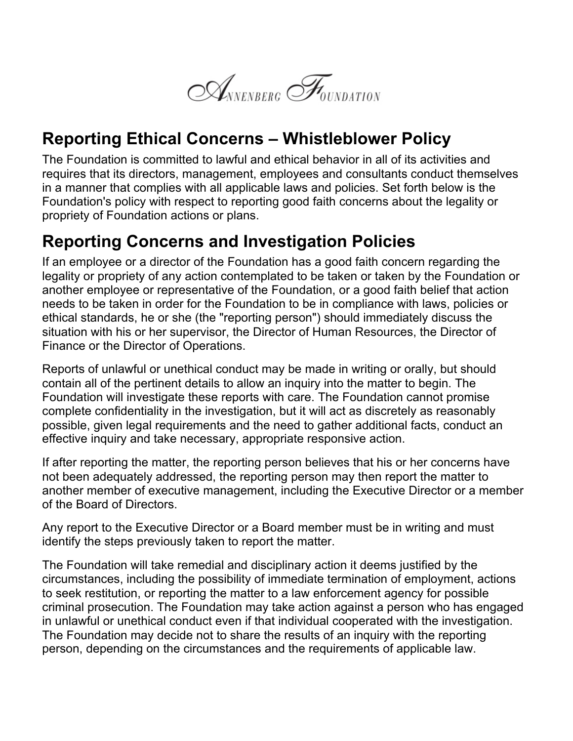

## **Reporting Ethical Concerns – Whistleblower Policy**

The Foundation is committed to lawful and ethical behavior in all of its activities and requires that its directors, management, employees and consultants conduct themselves in a manner that complies with all applicable laws and policies. Set forth below is the Foundation's policy with respect to reporting good faith concerns about the legality or propriety of Foundation actions or plans.

## **Reporting Concerns and Investigation Policies**

If an employee or a director of the Foundation has a good faith concern regarding the legality or propriety of any action contemplated to be taken or taken by the Foundation or another employee or representative of the Foundation, or a good faith belief that action needs to be taken in order for the Foundation to be in compliance with laws, policies or ethical standards, he or she (the "reporting person") should immediately discuss the situation with his or her supervisor, the Director of Human Resources, the Director of Finance or the Director of Operations.

Reports of unlawful or unethical conduct may be made in writing or orally, but should contain all of the pertinent details to allow an inquiry into the matter to begin. The Foundation will investigate these reports with care. The Foundation cannot promise complete confidentiality in the investigation, but it will act as discretely as reasonably possible, given legal requirements and the need to gather additional facts, conduct an effective inquiry and take necessary, appropriate responsive action.

If after reporting the matter, the reporting person believes that his or her concerns have not been adequately addressed, the reporting person may then report the matter to another member of executive management, including the Executive Director or a member of the Board of Directors.

Any report to the Executive Director or a Board member must be in writing and must identify the steps previously taken to report the matter.

The Foundation will take remedial and disciplinary action it deems justified by the circumstances, including the possibility of immediate termination of employment, actions to seek restitution, or reporting the matter to a law enforcement agency for possible criminal prosecution. The Foundation may take action against a person who has engaged in unlawful or unethical conduct even if that individual cooperated with the investigation. The Foundation may decide not to share the results of an inquiry with the reporting person, depending on the circumstances and the requirements of applicable law.